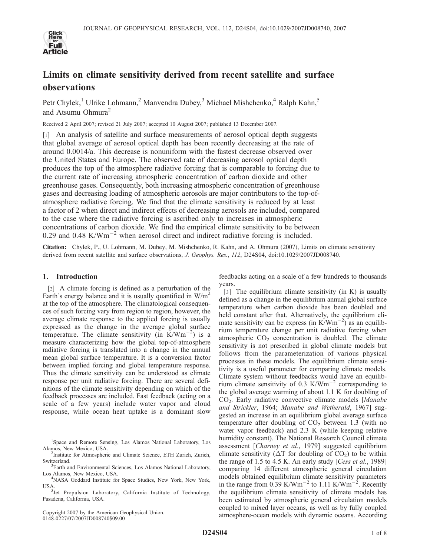

# Limits on climate sensitivity derived from recent satellite and surface observations

Petr Chylek,<sup>1</sup> Ulrike Lohmann,<sup>2</sup> Manvendra Dubey,<sup>3</sup> Michael Mishchenko,<sup>4</sup> Ralph Kahn,<sup>5</sup> and Atsumu Ohmura<sup>2</sup>

Received 2 April 2007; revised 21 July 2007; accepted 10 August 2007; published 13 December 2007.

[1] An analysis of satellite and surface measurements of aerosol optical depth suggests that global average of aerosol optical depth has been recently decreasing at the rate of around 0.0014/a. This decrease is nonuniform with the fastest decrease observed over the United States and Europe. The observed rate of decreasing aerosol optical depth produces the top of the atmosphere radiative forcing that is comparable to forcing due to the current rate of increasing atmospheric concentration of carbon dioxide and other greenhouse gases. Consequently, both increasing atmospheric concentration of greenhouse gases and decreasing loading of atmospheric aerosols are major contributors to the top-ofatmosphere radiative forcing. We find that the climate sensitivity is reduced by at least a factor of 2 when direct and indirect effects of decreasing aerosols are included, compared to the case where the radiative forcing is ascribed only to increases in atmospheric concentrations of carbon dioxide. We find the empirical climate sensitivity to be between 0.29 and 0.48 K/Wm<sup>-2</sup> when aerosol direct and indirect radiative forcing is included.

Citation: Chylek, P., U. Lohmann, M. Dubey, M. Mishchenko, R. Kahn, and A. Ohmura (2007), Limits on climate sensitivity derived from recent satellite and surface observations, J. Geophys. Res., 112, D24S04, doi:10.1029/2007JD008740.

# 1. Introduction

[2] A climate forcing is defined as a perturbation of the Earth's energy balance and it is usually quantified in  $W/m^2$ at the top of the atmosphere. The climatological consequences of such forcing vary from region to region, however, the average climate response to the applied forcing is usually expressed as the change in the average global surface temperature. The climate sensitivity (in  $\text{K}/\text{Wm}^{-2}$ ) is a measure characterizing how the global top-of-atmosphere radiative forcing is translated into a change in the annual mean global surface temperature. It is a conversion factor between implied forcing and global temperature response. Thus the climate sensitivity can be understood as climate response per unit radiative forcing. There are several definitions of the climate sensitivity depending on which of the feedback processes are included. Fast feedback (acting on a scale of a few years) include water vapor and cloud response, while ocean heat uptake is a dominant slow

Copyright 2007 by the American Geophysical Union. 0148-0227/07/2007JD008740\$09.00

feedbacks acting on a scale of a few hundreds to thousands years.

[3] The equilibrium climate sensitivity (in K) is usually defined as a change in the equilibrium annual global surface temperature when carbon dioxide has been doubled and held constant after that. Alternatively, the equilibrium climate sensitivity can be express (in  $\angle Wm^{-2}$ ) as an equilibrium temperature change per unit radiative forcing when atmospheric  $CO<sub>2</sub>$  concentration is doubled. The climate sensitivity is not prescribed in global climate models but follows from the parameterization of various physical processes in these models. The equilibrium climate sensitivity is a useful parameter for comparing climate models. Climate system without feedbacks would have an equilibrium climate sensitivity of 0.3  $K/Wm^{-2}$  corresponding to the global average warming of about 1.1 K for doubling of CO2. Early radiative convective climate models [Manabe and Strickler, 1964; Manabe and Wetherald, 1967] suggested an increase in an equilibrium global average surface temperature after doubling of  $CO<sub>2</sub>$  between 1.3 (with no water vapor feedback) and 2.3 K (while keeping relative humidity constant). The National Research Council climate assessment [Charney et al., 1979] suggested equilibrium climate sensitivity ( $\Delta T$  for doubling of  $CO_2$ ) to be within the range of 1.5 to 4.5 K. An early study [Cess et al., 1989] comparing 14 different atmospheric general circulation models obtained equilibrium climate sensitivity parameters in the range from  $0.39 \text{ K/Wm}^{-2}$  to 1.11 K/Wm<sup>-2</sup>. Recently the equilibrium climate sensitivity of climate models has been estimated by atmospheric general circulation models coupled to mixed layer oceans, as well as by fully coupled atmosphere-ocean models with dynamic oceans. According

<sup>1</sup> Space and Remote Sensing, Los Alamos National Laboratory, Los Alamos, New Mexico, USA. <sup>2</sup>

<sup>&</sup>lt;sup>2</sup>Institute for Atmospheric and Climate Science, ETH Zurich, Zurich, **Switzerland** 

<sup>&</sup>lt;sup>3</sup>Earth and Environmental Sciences, Los Alamos National Laboratory, Los Alamos, New Mexico, USA. <sup>4</sup>

<sup>&</sup>lt;sup>4</sup>NASA Goddard Institute for Space Studies, New York, New York, USA.

<sup>&</sup>lt;sup>5</sup>Jet Propulsion Laboratory, California Institute of Technology, Pasadena, California, USA.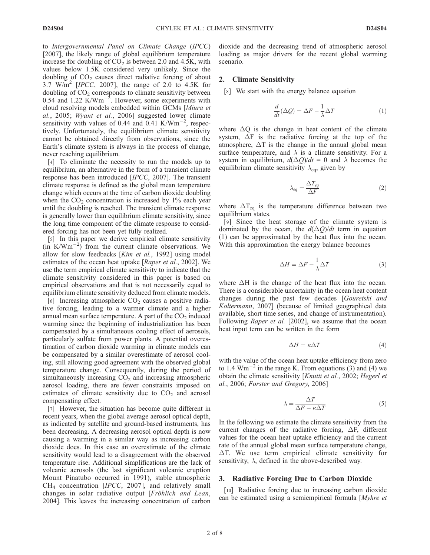to Intergovernmental Panel on Climate Change (IPCC) [2007], the likely range of global equilibrium temperature increase for doubling of  $CO<sub>2</sub>$  is between 2.0 and 4.5K, with values below 1.5K considered very unlikely. Since the doubling of  $CO<sub>2</sub>$  causes direct radiative forcing of about 3.7 W/m<sup>2</sup> [IPCC, 2007], the range of 2.0 to 4.5K for doubling of  $CO<sub>2</sub>$  corresponds to climate sensitivity between 0.54 and 1.22  $\text{K}/\text{Wm}^{-2}$ . However, some experiments with cloud resolving models embedded within GCMs [Miura et al., 2005; Wyant et al., 2006] suggested lower climate sensitivity with values of 0.44 and  $0.41 \text{ K/Wm}^{-2}$ , respectively. Unfortunately, the equilibrium climate sensitivity cannot be obtained directly from observations, since the Earth's climate system is always in the process of change, never reaching equilibrium.

[4] To eliminate the necessity to run the models up to equilibrium, an alternative in the form of a transient climate response has been introduced [IPCC, 2007]. The transient climate response is defined as the global mean temperature change which occurs at the time of carbon dioxide doubling when the  $CO<sub>2</sub>$  concentration is increased by 1% each year until the doubling is reached. The transient climate response is generally lower than equilibrium climate sensitivity, since the long time component of the climate response to considered forcing has not been yet fully realized.

[5] In this paper we derive empirical climate sensitivity  $(in K/Wm^{-2})$  from the current climate observations. We allow for slow feedbacks [Kim et al., 1992] using model estimates of the ocean heat uptake [Raper et al., 2002]. We use the term empirical climate sensitivity to indicate that the climate sensitivity considered in this paper is based on empirical observations and that is not necessarily equal to equilibrium climate sensitivity deduced from climate models.

[6] Increasing atmospheric  $CO<sub>2</sub>$  causes a positive radiative forcing, leading to a warmer climate and a higher annual mean surface temperature. A part of the  $CO<sub>2</sub>$  induced warming since the beginning of industrialization has been compensated by a simultaneous cooling effect of aerosols, particularly sulfate from power plants. A potential overestimation of carbon dioxide warming in climate models can be compensated by a similar overestimate of aerosol cooling, still allowing good agreement with the observed global temperature change. Consequently, during the period of simultaneously increasing  $CO<sub>2</sub>$  and increasing atmospheric aerosol loading, there are fewer constraints imposed on estimates of climate sensitivity due to  $CO<sub>2</sub>$  and aerosol compensating effect.

[7] However, the situation has become quite different in recent years, when the global average aerosol optical depth, as indicated by satellite and ground-based instruments, has been decreasing. A decreasing aerosol optical depth is now causing a warming in a similar way as increasing carbon dioxide does. In this case an overestimate of the climate sensitivity would lead to a disagreement with the observed temperature rise. Additional simplifications are the lack of volcanic aerosols (the last significant volcanic eruption Mount Pinatubo occurred in 1991), stable atmospheric  $CH<sub>4</sub>$  concentration [IPCC, 2007], and relatively small changes in solar radiative output [Fröhlich and Lean, 2004]. This leaves the increasing concentration of carbon

dioxide and the decreasing trend of atmospheric aerosol loading as major drivers for the recent global warming scenario.

## 2. Climate Sensitivity

[8] We start with the energy balance equation

$$
\frac{d}{dt}(\Delta Q) = \Delta F - \frac{1}{\lambda} \Delta T \tag{1}
$$

where  $\Delta$ O is the change in heat content of the climate system,  $\Delta F$  is the radiative forcing at the top of the atmosphere,  $\Delta T$  is the change in the annual global mean surface temperature, and  $\lambda$  is a climate sensitivity. For a system in equilibrium,  $d(\Delta Q)/dt = 0$  and  $\lambda$  becomes the equilibrium climate sensitivity  $\lambda_{eq}$ , given by

$$
\lambda_{eq} = \frac{\Delta T_{eq}}{\Delta F} \tag{2}
$$

where  $\Delta T_{eq}$  is the temperature difference between two equilibrium states.

[9] Since the heat storage of the climate system is dominated by the ocean, the  $d(\Delta Q)/dt$  term in equation (1) can be approximated by the heat flux into the ocean. With this approximation the energy balance becomes

$$
\Delta H = \Delta F - \frac{1}{\lambda} \Delta T \tag{3}
$$

where  $\Delta H$  is the change of the heat flux into the ocean. There is a considerable uncertainty in the ocean heat content changes during the past few decades [Gouretski and Koltermann, 2007] (because of limited geographical data available, short time series, and change of instrumentation). Following *Raper et al.* [2002], we assume that the ocean heat input term can be written in the form

$$
\Delta H = \kappa \Delta T \tag{4}
$$

with the value of the ocean heat uptake efficiency from zero to 1.4  $\text{Wm}^{-2}$  in the range K. From equations (3) and (4) we obtain the climate sensitivity [Knutti et al., 2002; Hegerl et al., 2006; Forster and Gregory, 2006]

$$
\lambda = \frac{\Delta T}{\Delta F - \kappa \Delta T} \tag{5}
$$

In the following we estimate the climate sensitivity from the current changes of the radiative forcing,  $\Delta F$ , different values for the ocean heat uptake efficiency and the current rate of the annual global mean surface temperature change,  $\Delta T$ . We use term empirical climate sensitivity for sensitivity,  $\lambda$ , defined in the above-described way.

### 3. Radiative Forcing Due to Carbon Dioxide

[10] Radiative forcing due to increasing carbon dioxide can be estimated using a semiempirical formula [Myhre et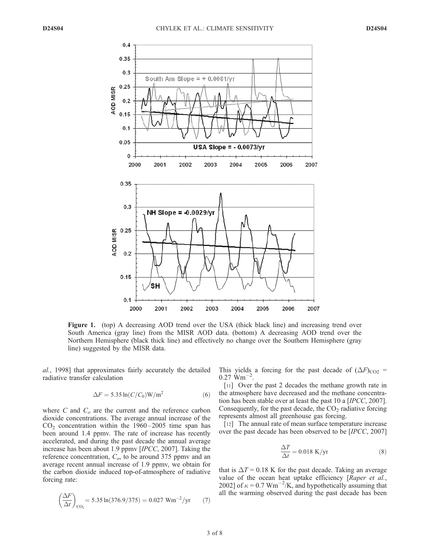

Figure 1. (top) A decreasing AOD trend over the USA (thick black line) and increasing trend over South America (gray line) from the MISR AOD data. (bottom) A decreasing AOD trend over the Northern Hemisphere (black thick line) and effectively no change over the Southern Hemisphere (gray line) suggested by the MISR data.

al., 1998] that approximates fairly accurately the detailed radiative transfer calculation

$$
\Delta F = 5.35 \ln(C/C_0) \text{W/m}^2 \tag{6}
$$

where C and  $C<sub>o</sub>$  are the current and the reference carbon dioxide concentrations. The average annual increase of the  $CO<sub>2</sub>$  concentration within the 1960–2005 time span has been around 1.4 ppmv. The rate of increase has recently accelerated, and during the past decade the annual average increase has been about 1.9 ppmv [IPCC, 2007]. Taking the reference concentration,  $C_{\alpha}$ , to be around 375 ppmv and an average recent annual increase of 1.9 ppmv, we obtain for the carbon dioxide induced top-of-atmosphere of radiative forcing rate:

$$
\left(\frac{\Delta F}{\Delta t}\right)_{\text{CO}_2} = 5.35 \ln(376.9/375) = 0.027 \text{ Wm}^{-2}/\text{yr} \tag{7}
$$

This yields a forcing for the past decade of  $(\Delta F)_{\text{CO2}}$  =  $0.27$  Wm<sup> $-$ </sup> .

[11] Over the past 2 decades the methane growth rate in the atmosphere have decreased and the methane concentration has been stable over at least the past 10 a [IPCC, 2007]. Consequently, for the past decade, the  $CO<sub>2</sub>$  radiative forcing represents almost all greenhouse gas forcing.

[12] The annual rate of mean surface temperature increase over the past decade has been observed to be [IPCC, 2007]

$$
\frac{\Delta T}{\Delta t} = 0.018 \text{ K/yr} \tag{8}
$$

that is  $\Delta T = 0.18$  K for the past decade. Taking an average value of the ocean heat uptake efficiency [Raper et al., 2002] of  $\kappa = 0.7 \text{ Wm}^{-2}/\text{K}$ , and hypothetically assuming that all the warming observed during the past decade has been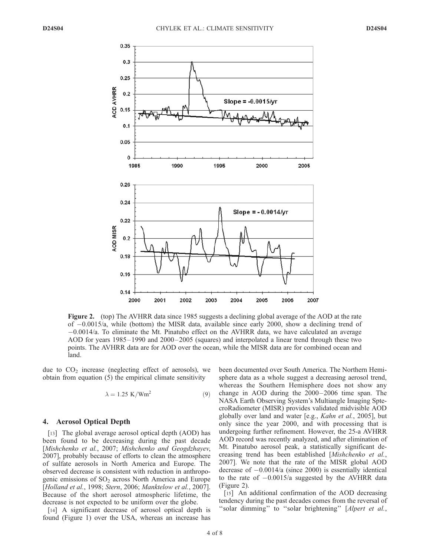

Figure 2. (top) The AVHRR data since 1985 suggests a declining global average of the AOD at the rate of 0.0015/a, while (bottom) the MISR data, available since early 2000, show a declining trend of  $-0.0014/a$ . To eliminate the Mt. Pinatubo effect on the AVHRR data, we have calculated an average AOD for years 1985–1990 and 2000–2005 (squares) and interpolated a linear trend through these two points. The AVHRR data are for AOD over the ocean, while the MISR data are for combined ocean and land.

due to  $CO<sub>2</sub>$  increase (neglecting effect of aerosols), we obtain from equation (5) the empirical climate sensitivity

$$
\lambda = 1.25 \text{ K} / \text{Wm}^2 \tag{9}
$$

#### 4. Aerosol Optical Depth

[13] The global average aerosol optical depth (AOD) has been found to be decreasing during the past decade [Mishchenko et al., 2007; Mishchenko and Geogdzhayev, 2007], probably because of efforts to clean the atmosphere of sulfate aerosols in North America and Europe. The observed decrease is consistent with reduction in anthropogenic emissions of  $SO<sub>2</sub>$  across North America and Europe [Holland et al., 1998; Stern, 2006; Manktelow et al., 2007]. Because of the short aerosol atmospheric lifetime, the decrease is not expected to be uniform over the globe.

[14] A significant decrease of aerosol optical depth is found (Figure 1) over the USA, whereas an increase has been documented over South America. The Northern Hemisphere data as a whole suggest a decreasing aerosol trend, whereas the Southern Hemisphere does not show any change in AOD during the  $2000-2006$  time span. The NASA Earth Observing System's Multiangle Imaging SptecroRadiometer (MISR) provides validated midvisible AOD globally over land and water [e.g., Kahn et al., 2005], but only since the year 2000, and with processing that is undergoing further refinement. However, the 25-a AVHRR AOD record was recently analyzed, and after elimination of Mt. Pinatubo aerosol peak, a statistically significant decreasing trend has been established [Mishchenko et al., 2007]. We note that the rate of the MISR global AOD decrease of  $-0.0014/a$  (since 2000) is essentially identical to the rate of  $-0.0015/a$  suggested by the AVHRR data (Figure 2).

[15] An additional confirmation of the AOD decreasing tendency during the past decades comes from the reversal of "solar dimming" to "solar brightening" [Alpert et al.,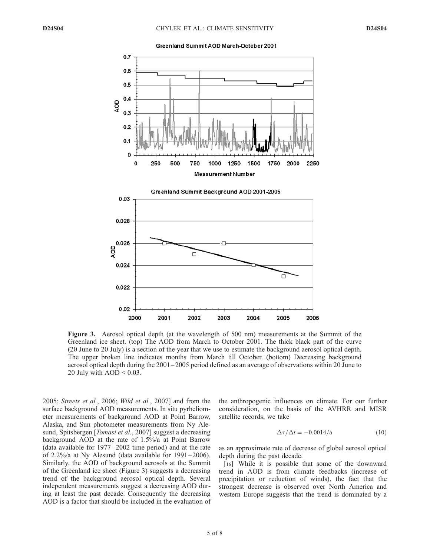



Figure 3. Aerosol optical depth (at the wavelength of 500 nm) measurements at the Summit of the Greenland ice sheet. (top) The AOD from March to October 2001. The thick black part of the curve (20 June to 20 July) is a section of the year that we use to estimate the background aerosol optical depth. The upper broken line indicates months from March till October. (bottom) Decreasing background aerosol optical depth during the 2001 – 2005 period defined as an average of observations within 20 June to 20 July with  $AOD < 0.03$ .

2005; Streets et al., 2006; Wild et al., 2007] and from the surface background AOD measurements. In situ pyrheliometer measurements of background AOD at Point Barrow, Alaska, and Sun photometer measurements from Ny Alesund, Spitsbergen [*Tomasi et al.*, 2007] suggest a decreasing background AOD at the rate of 1.5%/a at Point Barrow (data available for 1977– 2002 time period) and at the rate of 2.2%/a at Ny Alesund (data available for 1991 –2006). Similarly, the AOD of background aerosols at the Summit of the Greenland ice sheet (Figure 3) suggests a decreasing trend of the background aerosol optical depth. Several independent measurements suggest a decreasing AOD during at least the past decade. Consequently the decreasing AOD is a factor that should be included in the evaluation of the anthropogenic influences on climate. For our further consideration, on the basis of the AVHRR and MISR satellite records, we take

$$
\Delta \tau / \Delta t = -0.0014 / a \tag{10}
$$

as an approximate rate of decrease of global aerosol optical depth during the past decade.

[16] While it is possible that some of the downward trend in AOD is from climate feedbacks (increase of precipitation or reduction of winds), the fact that the strongest decrease is observed over North America and western Europe suggests that the trend is dominated by a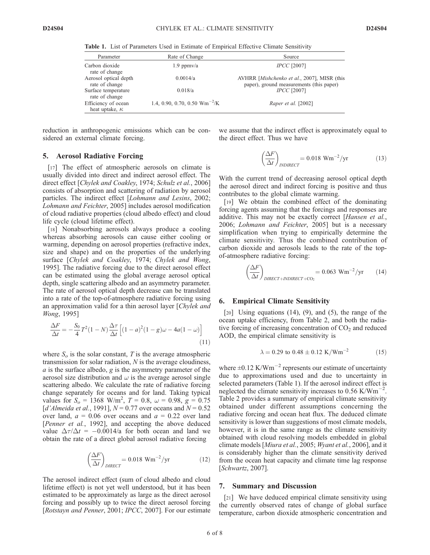Table 1. List of Parameters Used in Estimate of Empirical Effective Climate Sensitivity

| Parameter                                    | Rate of Change                    | Source                                                                                  |
|----------------------------------------------|-----------------------------------|-----------------------------------------------------------------------------------------|
| Carbon dioxide<br>rate of change             | $1.9$ ppm $v/a$                   | <b>IPCC</b> [2007]                                                                      |
| Aerosol optical depth<br>rate of change      | 0.0014/a                          | AVHRR [Mishchenko et al., 2007], MISR (this<br>paper), ground measurements (this paper) |
| Surface temperature<br>rate of change        | 0.018/a                           | $\textit{IPCC}$ [2007]                                                                  |
| Efficiency of ocean<br>heat uptake, $\kappa$ | 1.4, 0.90, 0.70, 0.50 $Wm^{-2}/K$ | Raper et al. [2002]                                                                     |

reduction in anthropogenic emissions which can be considered an external climate forcing.

#### 5. Aerosol Radiative Forcing

[17] The effect of atmospheric aerosols on climate is usually divided into direct and indirect aerosol effect. The direct effect [Chylek and Coakley, 1974; Schulz et al., 2006] consists of absorption and scattering of radiation by aerosol particles. The indirect effect [Lohmann and Lesins, 2002; Lohmann and Feichter, 2005] includes aerosol modification of cloud radiative properties (cloud albedo effect) and cloud life cycle (cloud lifetime effect).

[18] Nonabsorbing aerosols always produce a cooling whereas absorbing aerosols can cause either cooling or warming, depending on aerosol properties (refractive index, size and shape) and on the properties of the underlying surface [Chylek and Coakley, 1974; Chylek and Wong, 1995]. The radiative forcing due to the direct aerosol effect can be estimated using the global average aerosol optical depth, single scattering albedo and an asymmetry parameter. The rate of aerosol optical depth decrease can be translated into a rate of the top-of-atmosphere radiative forcing using an approximation valid for a thin aerosol layer [Chylek and Wong, 1995]

$$
\frac{\Delta F}{\Delta t} = -\frac{S_0}{4}T^2(1-N)\frac{\Delta \tau}{\Delta t} \left[ (1-a)^2(1-g)\omega - 4a(1-\omega) \right]
$$
\n(11)

where  $S<sub>o</sub>$  is the solar constant, T is the average atmospheric transmission for solar radiation, N is the average cloudiness,  $a$  is the surface albedo,  $g$  is the asymmetry parameter of the aerosol size distribution and  $\omega$  is the average aerosol single scattering albedo. We calculate the rate of radiative forcing change separately for oceans and for land. Taking typical values for  $S_o = 1368 \text{ W/m}^2$ ,  $T = 0.8$ ,  $\omega = 0.98$ ,  $g = 0.75$ [d'Almeida et al., 1991],  $N = 0.77$  over oceans and  $N = 0.52$ over land,  $a = 0.06$  over oceans and  $a = 0.22$  over land [Penner et al., 1992], and accepting the above deduced value  $\Delta \tau / \Delta t = -0.0014/a$  for both ocean and land we obtain the rate of a direct global aerosol radiative forcing

$$
\left(\frac{\Delta F}{\Delta t}\right)_{\text{DIRECT}} = 0.018 \text{ Wm}^{-2}/\text{yr}
$$
 (12)

The aerosol indirect effect (sum of cloud albedo and cloud lifetime effect) is not yet well understood, but it has been estimated to be approximately as large as the direct aerosol forcing and possibly up to twice the direct aerosol forcing [Rotstayn and Penner, 2001; IPCC, 2007]. For our estimate we assume that the indirect effect is approximately equal to the direct effect. Thus we have

$$
\left(\frac{\Delta F}{\Delta t}\right)_{\text{INDIRECT}} = 0.018 \text{ Wm}^{-2}/\text{yr}
$$
 (13)

With the current trend of decreasing aerosol optical depth the aerosol direct and indirect forcing is positive and thus contributes to the global climate warming.

[19] We obtain the combined effect of the dominating forcing agents assuming that the forcings and responses are additive. This may not be exactly correct [Hansen et al., 2006; Lohmann and Feichter, 2005] but is a necessary simplification when trying to empirically determine the climate sensitivity. Thus the combined contribution of carbon dioxide and aerosols leads to the rate of the topof-atmosphere radiative forcing:

$$
\left(\frac{\Delta F}{\Delta t}\right)_{\text{DIRECT} + \text{INDIRECT} + \text{CO}_2} = 0.063 \text{ Wm}^{-2}/\text{yr} \qquad (14)
$$

#### 6. Empirical Climate Sensitivity

[ $20$ ] Using equations (14), (9), and (5), the range of the ocean uptake efficiency, from Table 2, and both the radiative forcing of increasing concentration of  $CO<sub>2</sub>$  and reduced AOD, the empirical climate sensitivity is

$$
\lambda = 0.29 \text{ to } 0.48 \pm 0.12 \text{ K}/\text{Wm}^{-2} \tag{15}
$$

where  $\pm 0.12$  K/Wm<sup>-2</sup> represents our estimate of uncertainty due to approximations used and due to uncertainty in selected parameters (Table 1). If the aerosol indirect effect is neglected the climate sensitivity increases to  $0.56$  K/Wm<sup>-</sup> . Table 2 provides a summary of empirical climate sensitivity obtained under different assumptions concerning the radiative forcing and ocean heat flux. The deduced climate sensitivity is lower than suggestions of most climate models, however, it is in the same range as the climate sensitivity obtained with cloud resolving models embedded in global climate models [Miura et al., 2005; Wyant et al., 2006], and it is considerably higher than the climate sensitivity derived from the ocean heat capacity and climate time lag response [Schwartz, 2007].

### 7. Summary and Discussion

[21] We have deduced empirical climate sensitivity using the currently observed rates of change of global surface temperature, carbon dioxide atmospheric concentration and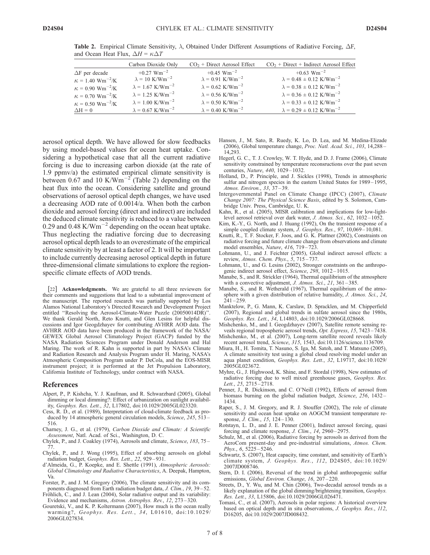|                                          | Carbon Dioxide Only                 | $CO2 + Direct$ Aerosol Effect       | $CO2 + Direct + Indirect$ Aerosol Effect     |
|------------------------------------------|-------------------------------------|-------------------------------------|----------------------------------------------|
| $\Delta F$ per decade                    | $+0.27$ Wm <sup>-2</sup>            | $+0.45$ Wm <sup>-2</sup>            | $+0.63$ Wm <sup>-2</sup>                     |
| $\kappa = 1.40 \text{ Wm}^{-2}/\text{K}$ | $\lambda = 10$ K/Wm <sup>-2</sup>   | $\lambda = 0.91 \text{ K/Wm}^{-2}$  | $\lambda = 0.48 \pm 0.12$ K/Wm <sup>-2</sup> |
| $\kappa = 0.90$ Wm <sup>-2</sup> /K      | $\lambda = 1.67$ K/Wm <sup>-2</sup> | $\lambda = 0.62$ K/Wm <sup>-2</sup> | $\lambda = 0.38 \pm 0.12 \text{ K/Wm}^{-2}$  |
| $\kappa = 0.70 \text{ Wm}^{-2}\text{/K}$ | $\lambda = 1.25$ K/Wm <sup>-2</sup> | $\lambda = 0.56$ K/Wm <sup>-2</sup> | $\lambda = 0.36 \pm 0.12 \text{ K/Wm}^{-2}$  |
| $\kappa = 0.50 \text{ Wm}^{-2}/\text{K}$ | $\lambda = 1.00 \text{ K/Wm}^{-2}$  | $\lambda = 0.50 \text{ K/Wm}^{-2}$  | $\lambda = 0.33 \pm 0.12 \text{ K/Wm}^{-2}$  |
| $\Delta H = 0$                           | $\lambda = 0.67$ K/Wm <sup>-2</sup> | $\lambda = 0.40 \text{ K/Wm}^{-2}$  | $\lambda = 0.29 \pm 0.12 \text{ K/Wm}^{-2}$  |

Table 2. Empirical Climate Sensitivity,  $\lambda$ , Obtained Under Different Assumptions of Radiative Forcing,  $\Delta F$ , and Ocean Heat Flux,  $\Delta H = \kappa \Delta T$ 

aerosol optical depth. We have allowed for slow feedbacks by using model-based values for ocean heat uptake. Considering a hypothetical case that all the current radiative forcing is due to increasing carbon dioxide (at the rate of 1.9 ppmv/a) the estimated empirical climate sensitivity is between 0.67 and 10 K/Wm<sup>-2</sup> (Table 2) depending on the heat flux into the ocean. Considering satellite and ground observations of aerosol optical depth changes, we have used a decreasing AOD rate of 0.0014/a. When both the carbon dioxide and aerosol forcing (direct and indirect) are included the deduced climate sensitivity is reduced to a value between 0.29 and 0.48 K/Wm<sup>-2</sup> depending on the ocean heat uptake. Thus neglecting the radiative forcing due to decreasing aerosol optical depth leads to an overestimate of the empirical climate sensitivity by at least a factor of 2. It will be important to include currently decreasing aerosol optical depth in future three-dimensional climate simulations to explore the regionspecific climate effects of AOD trends.

[22] **Acknowledgments.** We are grateful to all three reviewers for their comments and suggestions that lead to a substantial improvement of the manuscript. The reported research was partially supported by Los Alamos National Laboratory's Directed Research and Development Project entitled ''Resolving the Aerosol-Climate-Water Puzzle (20050014DR)''. We thank Gerald North, Reto Knutti, and Glen Lesins for helpful discussions and Igor Geogdzhayev for contributing AVHRR AOD data. The AVHRR AOD data have been produced in the framework of the NASA/ GEWEX Global Aerosol Climatology Project (GACP) funded by the NASA Radiation Sciences Program under Donald Anderson and Hal Maring. The work of R. Kahn is supported in part by NASA's Climate and Radiation Research and Analysis Program under H. Maring, NASA's Atmospheric Composition Program under P. DeCola, and the EOS-MISR instrument project; it is performed at the Jet Propulsion Laboratory, California Institute of Technology, under contract with NASA.

#### References

- Alpert, P., P. Kishcha, Y. J. Kaufman, and R. Schwarzbard (2005), Global dimming or local dimming?: Effect of urbanization on sunlight availability, Geophys. Res. Lett., 32, L17802, doi:10.1029/2005GL023320.
- Cess, R. D., et al. (1989), Interpretation of cloud-climate feedback as produced by 14 atmospheric general circulation models, Science, 245, 513-516.
- Charney, J. G., et al. (1979), Carbon Dioxide and Climate: A Scientific Assessment, Natl. Acad. of Sci., Washington, D. C.
- Chylek, P., and J. Coakley (1974), Aerosols and climate, Science, 183, 75 77.
- Chylek, P., and J. Wong (1995), Effect of absorbing aerosols on global radiation budget, Geophys. Res. Lett., 22, 929 – 931.
- d'Almeida, G., P. Koepke, and E. Shettle (1991), Atmospheric Aerosols: Global Climatology and Radiative Characteristics, A. Deepak, Hampton, Va.
- Forster, P., and J. M. Gregory (2006), The climate sensitivity and its components diagnosed from Earth radiation budget data, J. Clim., 19, 39 – 52.

Fröhlich, C., and J. Lean (2004), Solar radiative output and its variability: Evidence and mechanisms, Astron. Astrophys. Rev., 12, 273 – 320.

Gouretski, V., and K. P. Koltermann (2007), How much is the ocean really warming?, Geophys. Res. Lett., 34, L01610, doi:10.1029/ 2006GL027834.

- Hansen, J., M. Sato, R. Ruedy, K. Lo, D. Lea, and M. Medina-Elizade (2006), Global temperature change, Proc. Natl. Acad. Sci., 103, 14,288 – 14,293.
- Hegerl, G. C., T. J. Crowley, W. T. Hyde, and D. J. Frame (2006), Climate sensitivity constrained by temperature reconsructions over the past seven centuries, Nature, 440, 1029-1032.
- Holland, D., P. Principle, and J. Sickles (1998), Trends in atmospheric sulfur and nitrogen species in the eastern United States for 1989–1995, Atmos. Environ., 33, 37 – 39.
- Intergovernmental Panel on Climate Change (IPCC) (2007), Climate Change 2007: The Physical Science Basis, edited by S. Solomon, Cambridge Univ. Press, Cambridge, U. K.
- Kahn, R., et al. (2005), MISR calibration and implications for low-lightlevel aerosol retrieval over dark water, J. Atmos. Sci., 62, 1032-1052.
- Kim, K.-Y., G. North, and J. Huang (1992), On the transient response of a simple coupled climate system,  $\bar{J}$ . Geophys. Res., 97, 10,069 – 10,081.
- Knutti, R., T. F. Stocker, F. Joos, and G. K. Plattner (2002), Constraints on radiative forcing and future climate change from observations and climate model ensembles, Nature, 416, 719-723.
- Lohmann, U., and J. Feichter (2005), Global indirect aerosol effects: a review, Atmos. Chem. Phys., 5, 715 – 737.
- Lohmann, U., and G. Lesins (2002), Stronger constraints on the anthropogenic indirect aerosol effect, Science, 298, 1012-1015.
- Manabe, S., and R. Strickler (1964), Thermal equilibrium of the atmosphere with a convective adjustment, *J. Atmos. Sci.*, 21, 361-385.
- Manabe, S., and R. Wetherald (1967), Thermal equilibrium of the atmosphere with a given distribution of relative humidity, *J. Atmos. Sci.*, 24,  $241 - 259$
- Manktelow, P., G. Mann, K. Carslaw, D. Spracklen, and M. Chipperfield (2007), Regional and global trends in sulfate aerosol since the 1980s, Geophys. Res. Lett., 34, L14803, doi:10.1029/2006GL028668.
- Mishchenko, M., and I. Geogdzhayev (2007), Satellite remote sensing reveals regional tropospheric aerosol trends, Opt. Express, 15, 7423-7438.
- Mishchenko, M., et al. (2007), Long-term satellite record reveals likely recent aerosol trend, Science, 315, 1543, doi:10.1126/science.1136709.
- Miura, H., H. Tomita, T. Nasuno, S. Iga, M. Satoh, and T. Matsuno (2005), A climate sensitivity test using a global cloud resolving model under an aqua planet condition, Geophys. Res. Lett., 32, L19717, doi:10.1029/ 2005GL023672.
- Myhre, G., J. Highwood, K. Shine, and F. Stordal (1998), New estimates of radiative forcing due to well mixed greenhouse gases, Geophys. Res. Lett., 25, 2715-2718.
- Penner, J., R. Dickinson, and C. O'Neill (1992), Effects of aerosol from biomass burning on the global radiation budget, Science, 256, 1432-1434.
- Raper, S., J. M. Gregory, and R. J. Stouffer (2002), The role of climate sensitivity and ocean heat uptake on AOGCM transient temperature response,  $\dot{J}$ . Clim., 15, 124–130.
- Rotstayn, L. D., and J. E. Penner (2001), Indirect aerosol forcing, quasi forcing and climate response, J. Clim.,  $14$ , 2960–2975.
- Schulz, M., et al. (2006), Radiative forcing by aerosols as derived from the AeroCom present-day and pre-industrial simulations, Atmos. Chem. Phys., 6, 5225 – 5246.
- Schwartz, S. (2007), Heat capacity, time constant, and sensitivity of Earth's climate system, J. Geophys. Res., 112, D24S05, doi:10.1029/ 2007JD008746.
- Stern, D. I. (2006), Reversal of the trend in global anthropogenic sulfur emissions, Global Environ. Change, 16, 207-220.
- Streets, D., Y. Wu, and M. Chin (2006), Two-decadal aerosol trends as a likely explanation of the global dimming/brightening transition, Geophys. Res. Lett., 33, L15806, doi:10.1029/2006GL026471.
- Tomasi, C., et al. (2007), Aerosols in polar regions: A historical overview based on optical depth and in situ observations, J. Geophys. Res., 112, D16205, doi:10.1029/2007JD008432.